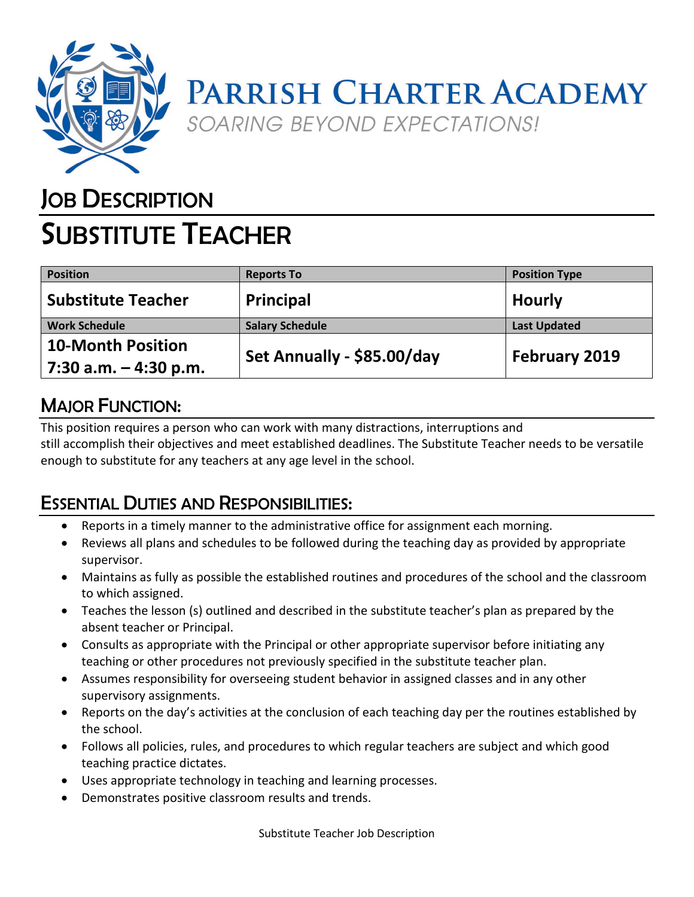

## PARRISH CHARTER ACADEMY SOARING BEYOND EXPECTATIONS!

### **JOB DESCRIPTION**

# SUBSTITUTE TEACHER

| <b>Position</b>           | <b>Reports To</b>          | <b>Position Type</b> |
|---------------------------|----------------------------|----------------------|
| <b>Substitute Teacher</b> | Principal                  | <b>Hourly</b>        |
| <b>Work Schedule</b>      | <b>Salary Schedule</b>     | <b>Last Updated</b>  |
| <b>10-Month Position</b>  | Set Annually - \$85.00/day | February 2019        |
| 7:30 a.m. $-$ 4:30 p.m.   |                            |                      |

#### MAJOR FUNCTION:

This position requires a person who can work with many distractions, interruptions and still accomplish their objectives and meet established deadlines. The Substitute Teacher needs to be versatile enough to substitute for any teachers at any age level in the school.

### ESSENTIAL DUTIES AND RESPONSIBILITIES:

- Reports in a timely manner to the administrative office for assignment each morning.
- Reviews all plans and schedules to be followed during the teaching day as provided by appropriate supervisor.
- Maintains as fully as possible the established routines and procedures of the school and the classroom to which assigned.
- Teaches the lesson (s) outlined and described in the substitute teacher's plan as prepared by the absent teacher or Principal.
- Consults as appropriate with the Principal or other appropriate supervisor before initiating any teaching or other procedures not previously specified in the substitute teacher plan.
- Assumes responsibility for overseeing student behavior in assigned classes and in any other supervisory assignments.
- Reports on the day's activities at the conclusion of each teaching day per the routines established by the school.
- Follows all policies, rules, and procedures to which regular teachers are subject and which good teaching practice dictates.
- Uses appropriate technology in teaching and learning processes.
- Demonstrates positive classroom results and trends.